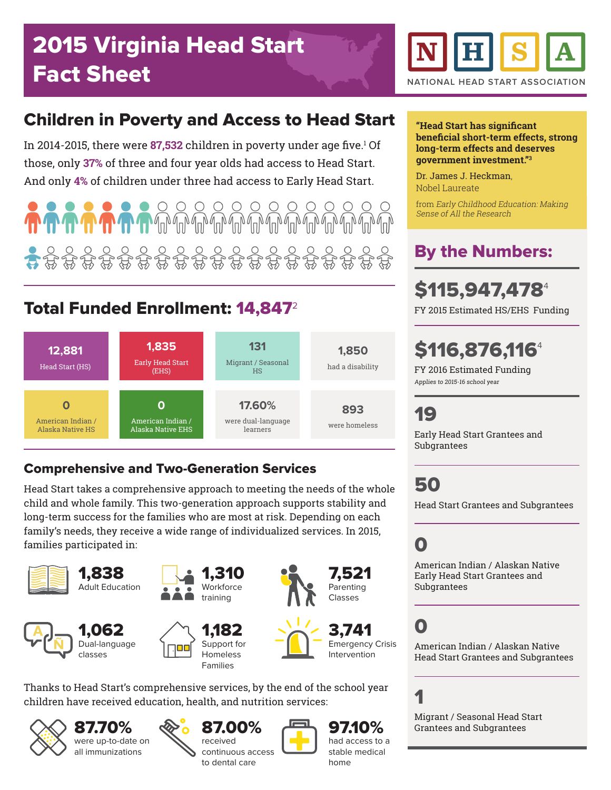## Children in Poverty and Access to Head Start

In 2014-2015, there were **87,532** children in poverty under age five.<del>'</del> Of those, only **37%** of three and four year olds had access to Head Start. And only **4%** of children under three had access to Early Head Start.

 $\bigcap$  $\bigcap$  $\bigcap$  $\bigcap$  $\bigcap$  $\bigcap$  $\bigcap$ 

## Total Funded Enrollment: 14,847<sup>2</sup>



#### Comprehensive and Two-Generation Services

Head Start takes a comprehensive approach to meeting the needs of the whole child and whole family. This two-generation approach supports stability and long-term success for the families who are most at risk. Depending on each family's needs, they receive a wide range of individualized services. In 2015, families participated in:



Thanks to Head Start's comprehensive services, by the end of the school year children have received education, health, and nutrition services:



87.70% were up-to-date on all immunizations







97.10% had access to a stable medical



#### **"Head Start has significant beneficial short-term effects, strong long-term effects and deserves government investment."<sup>3</sup>**

Dr. James J. Heckman, Nobel Laureate

from Early Childhood Education: Making Sense of All the Research

## By the Numbers:

# **\$115,947,478**

FY 2015 Estimated HS/EHS Funding

# **\$116,876,1164**

FY 2016 Estimated Funding Applies to 2015-16 school year

### 19

Early Head Start Grantees and Subgrantees

50

Head Start Grantees and Subgrantees

# 0

American Indian / Alaskan Native Early Head Start Grantees and Subgrantees

# 0

American Indian / Alaskan Native Head Start Grantees and Subgrantees

## 1

Migrant / Seasonal Head Start Grantees and Subgrantees

home